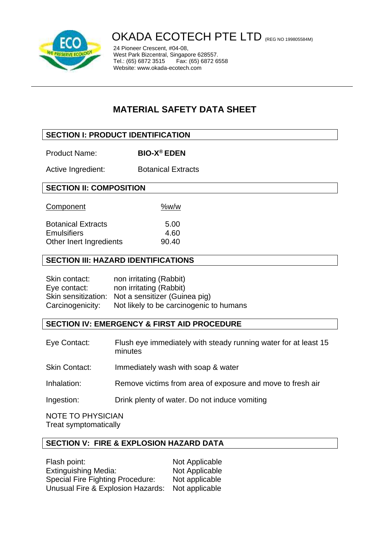

# OKADA ECOTECH PTE LTD (REG NO 199805584M)

24 Pioneer Crescent, #04-08, West Park Bizcentral, Singapore 628557. Fax: (65) 6872 6558 Website: www.okada-ecotech.com

## **MATERIAL SAFETY DATA SHEET**

## **SECTION I: PRODUCT IDENTIFICATION**

| <b>Product Name:</b> | <b>BIO-X<sup>®</sup> EDEN</b> |
|----------------------|-------------------------------|
|----------------------|-------------------------------|

Active Ingredient: Botanical Extracts

## **SECTION II: COMPOSITION**

| Component                                       | %w/w         |
|-------------------------------------------------|--------------|
| <b>Botanical Extracts</b><br><b>Emulsifiers</b> | 5.00<br>4.60 |
| Other Inert Ingredients                         | 90.40        |

## **SECTION III: HAZARD IDENTIFICATIONS**

| Skin contact:    | non irritating (Rabbit)                           |
|------------------|---------------------------------------------------|
| Eye contact:     | non irritating (Rabbit)                           |
|                  | Skin sensitization: Not a sensitizer (Guinea pig) |
| Carcinogenicity: | Not likely to be carcinogenic to humans           |

## **SECTION IV: EMERGENCY & FIRST AID PROCEDURE**

| Eye Contact: | Flush eye immediately with steady running water for at least 15 |
|--------------|-----------------------------------------------------------------|
|              | minutes                                                         |
|              |                                                                 |

Skin Contact: Immediately wash with soap & water

- Inhalation: Remove victims from area of exposure and move to fresh air
- Ingestion: Drink plenty of water. Do not induce vomiting

NOTE TO PHYSICIAN Treat symptomatically

## **SECTION V: FIRE & EXPLOSION HAZARD DATA**

| Flash point:                            | Not Applicable |
|-----------------------------------------|----------------|
| <b>Extinguishing Media:</b>             | Not Applicable |
| <b>Special Fire Fighting Procedure:</b> | Not applicable |
| Unusual Fire & Explosion Hazards:       | Not applicable |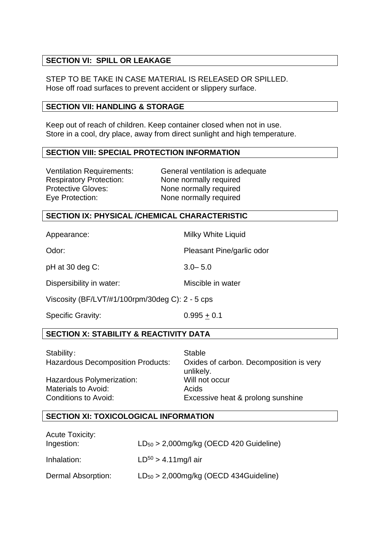## **SECTION VI: SPILL OR LEAKAGE**

STEP TO BE TAKE IN CASE MATERIAL IS RELEASED OR SPILLED. Hose off road surfaces to prevent accident or slippery surface.

#### **SECTION VII: HANDLING & STORAGE**

Keep out of reach of children. Keep container closed when not in use. Store in a cool, dry place, away from direct sunlight and high temperature.

#### **SECTION VIII: SPECIAL PROTECTION INFORMATION**

Respiratory Protection: None normally required Protective Gloves: None normally required

Ventilation Requirements: General ventilation is adequate Eye Protection: None normally required

#### **SECTION IX: PHYSICAL /CHEMICAL CHARACTERISTIC**

Appearance: Milky White Liquid

Odor: Pleasant Pine/garlic odor

pH at 30 deg C: 3.0– 5.0

Dispersibility in water: Miscible in water

Viscosity (BF/LVT/#1/100rpm/30deg C): 2 - 5 cps

Specific Gravity:  $0.995 \pm 0.1$ 

## **SECTION X: STABILITY & REACTIVITY DATA**

Stability: Stable

Hazardous Polymerization: Will not occur Materials to Avoid: Acids

Hazardous Decomposition Products: Oxides of carbon. Decomposition is very unlikely. Conditions to Avoid: Excessive heat & prolong sunshine

#### **SECTION XI: TOXICOLOGICAL INFORMATION**

| <b>Acute Toxicity:</b><br>Ingestion: | $LD_{50}$ > 2,000mg/kg (OECD 420 Guideline) |
|--------------------------------------|---------------------------------------------|
| Inhalation:                          | $LD^{50} > 4.11$ mg/l air                   |
| Dermal Absorption:                   | $LD_{50} > 2,000$ mg/kg (OECD 434Guideline) |